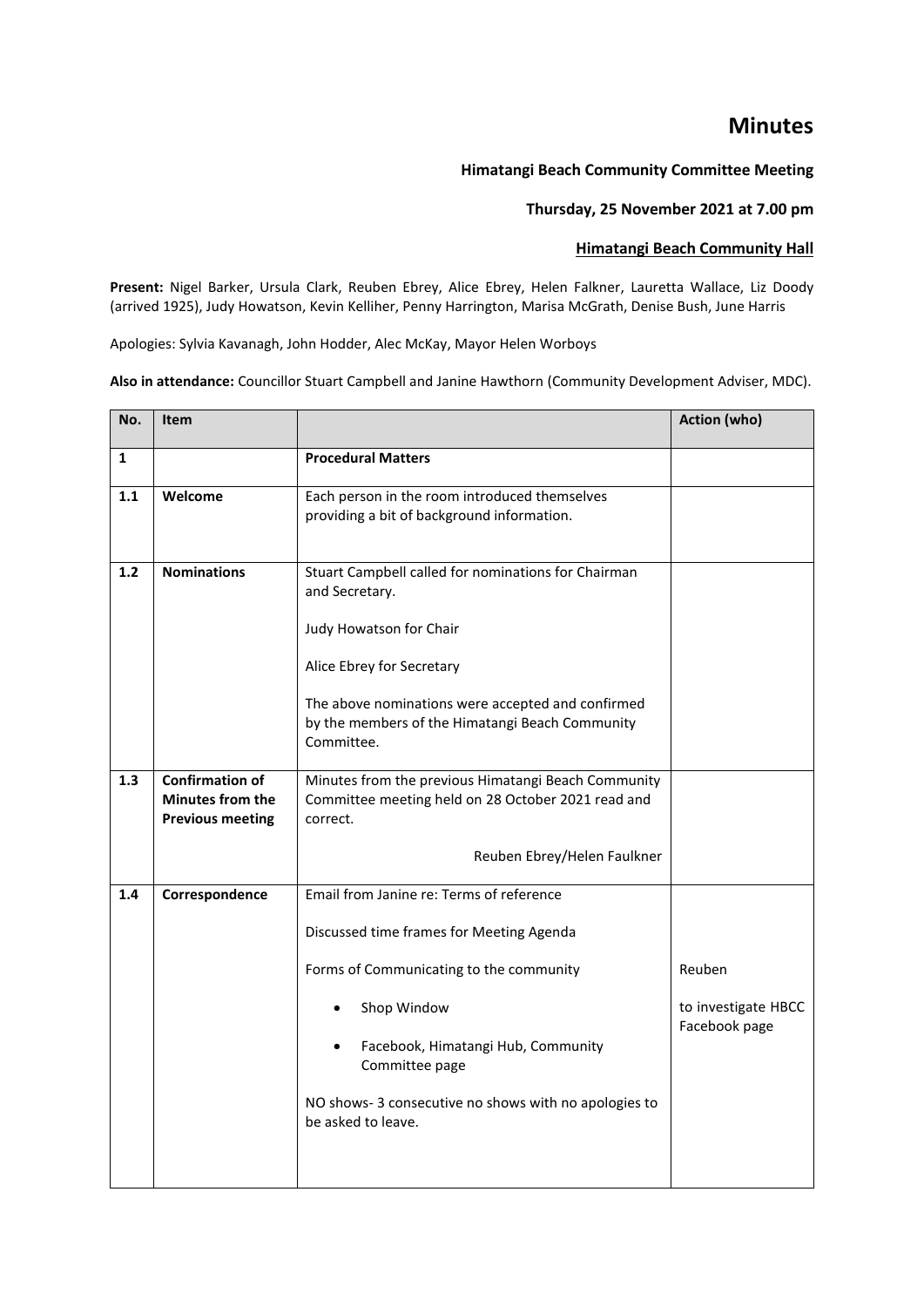## **Minutes**

## **Himatangi Beach Community Committee Meeting**

## **Thursday, 25 November 2021 at 7.00 pm**

## **Himatangi Beach Community Hall**

**Present:** Nigel Barker, Ursula Clark, Reuben Ebrey, Alice Ebrey, Helen Falkner, Lauretta Wallace, Liz Doody (arrived 1925), Judy Howatson, Kevin Kelliher, Penny Harrington, Marisa McGrath, Denise Bush, June Harris

Apologies: Sylvia Kavanagh, John Hodder, Alec McKay, Mayor Helen Worboys

**Also in attendance:** Councillor Stuart Campbell and Janine Hawthorn (Community Development Adviser, MDC).

| No.          | <b>Item</b>                                                                  |                                                                                                                       | Action (who)        |
|--------------|------------------------------------------------------------------------------|-----------------------------------------------------------------------------------------------------------------------|---------------------|
| $\mathbf{1}$ |                                                                              | <b>Procedural Matters</b>                                                                                             |                     |
| 1.1          | Welcome                                                                      | Each person in the room introduced themselves<br>providing a bit of background information.                           |                     |
| 1.2          | <b>Nominations</b>                                                           | Stuart Campbell called for nominations for Chairman<br>and Secretary.                                                 |                     |
|              |                                                                              | Judy Howatson for Chair                                                                                               |                     |
|              |                                                                              | Alice Ebrey for Secretary                                                                                             |                     |
|              |                                                                              | The above nominations were accepted and confirmed<br>by the members of the Himatangi Beach Community<br>Committee.    |                     |
| 1.3          | <b>Confirmation of</b><br><b>Minutes from the</b><br><b>Previous meeting</b> | Minutes from the previous Himatangi Beach Community<br>Committee meeting held on 28 October 2021 read and<br>correct. |                     |
|              |                                                                              | Reuben Ebrey/Helen Faulkner                                                                                           |                     |
| 1.4          | Correspondence                                                               | Email from Janine re: Terms of reference                                                                              |                     |
|              |                                                                              | Discussed time frames for Meeting Agenda                                                                              |                     |
|              |                                                                              | Forms of Communicating to the community                                                                               | Reuben              |
|              |                                                                              | Shop Window                                                                                                           | to investigate HBCC |
|              |                                                                              | Facebook, Himatangi Hub, Community<br>$\bullet$<br>Committee page                                                     | Facebook page       |
|              |                                                                              | NO shows-3 consecutive no shows with no apologies to<br>be asked to leave.                                            |                     |
|              |                                                                              |                                                                                                                       |                     |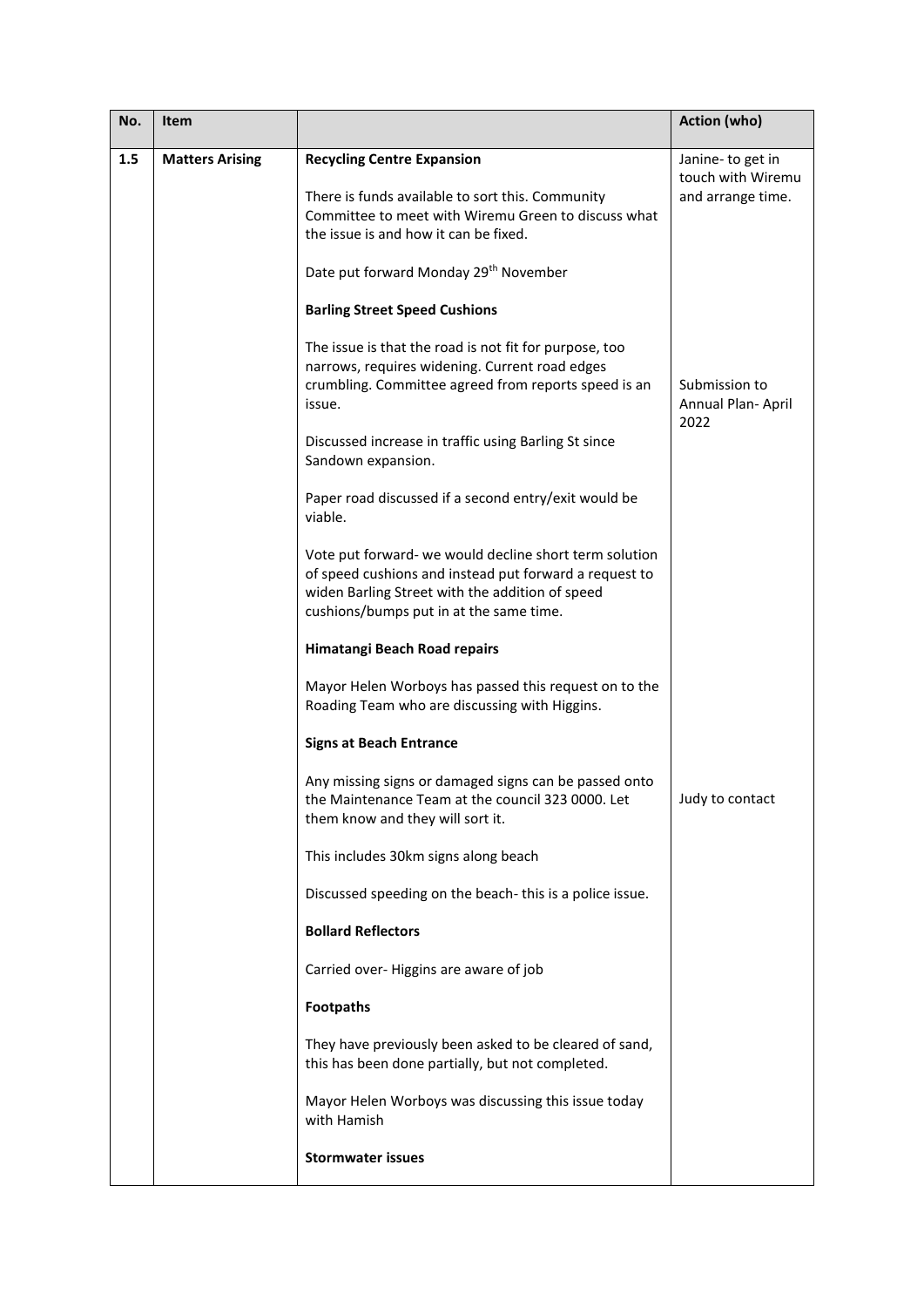| No. | Item                   |                                                                                                                                                                                                                | Action (who)                                               |
|-----|------------------------|----------------------------------------------------------------------------------------------------------------------------------------------------------------------------------------------------------------|------------------------------------------------------------|
| 1.5 | <b>Matters Arising</b> | <b>Recycling Centre Expansion</b><br>There is funds available to sort this. Community<br>Committee to meet with Wiremu Green to discuss what<br>the issue is and how it can be fixed.                          | Janine-to get in<br>touch with Wiremu<br>and arrange time. |
|     |                        | Date put forward Monday 29th November                                                                                                                                                                          |                                                            |
|     |                        | <b>Barling Street Speed Cushions</b>                                                                                                                                                                           |                                                            |
|     |                        | The issue is that the road is not fit for purpose, too<br>narrows, requires widening. Current road edges<br>crumbling. Committee agreed from reports speed is an<br>issue.                                     | Submission to<br>Annual Plan- April<br>2022                |
|     |                        | Discussed increase in traffic using Barling St since<br>Sandown expansion.                                                                                                                                     |                                                            |
|     |                        | Paper road discussed if a second entry/exit would be<br>viable.                                                                                                                                                |                                                            |
|     |                        | Vote put forward- we would decline short term solution<br>of speed cushions and instead put forward a request to<br>widen Barling Street with the addition of speed<br>cushions/bumps put in at the same time. |                                                            |
|     |                        | Himatangi Beach Road repairs                                                                                                                                                                                   |                                                            |
|     |                        | Mayor Helen Worboys has passed this request on to the<br>Roading Team who are discussing with Higgins.                                                                                                         |                                                            |
|     |                        | <b>Signs at Beach Entrance</b>                                                                                                                                                                                 |                                                            |
|     |                        | Any missing signs or damaged signs can be passed onto<br>the Maintenance Team at the council 323 0000. Let<br>them know and they will sort it.                                                                 | Judy to contact                                            |
|     |                        | This includes 30km signs along beach                                                                                                                                                                           |                                                            |
|     |                        | Discussed speeding on the beach-this is a police issue.                                                                                                                                                        |                                                            |
|     |                        | <b>Bollard Reflectors</b>                                                                                                                                                                                      |                                                            |
|     |                        | Carried over-Higgins are aware of job                                                                                                                                                                          |                                                            |
|     |                        | <b>Footpaths</b>                                                                                                                                                                                               |                                                            |
|     |                        | They have previously been asked to be cleared of sand,<br>this has been done partially, but not completed.                                                                                                     |                                                            |
|     |                        | Mayor Helen Worboys was discussing this issue today<br>with Hamish                                                                                                                                             |                                                            |
|     |                        | <b>Stormwater issues</b>                                                                                                                                                                                       |                                                            |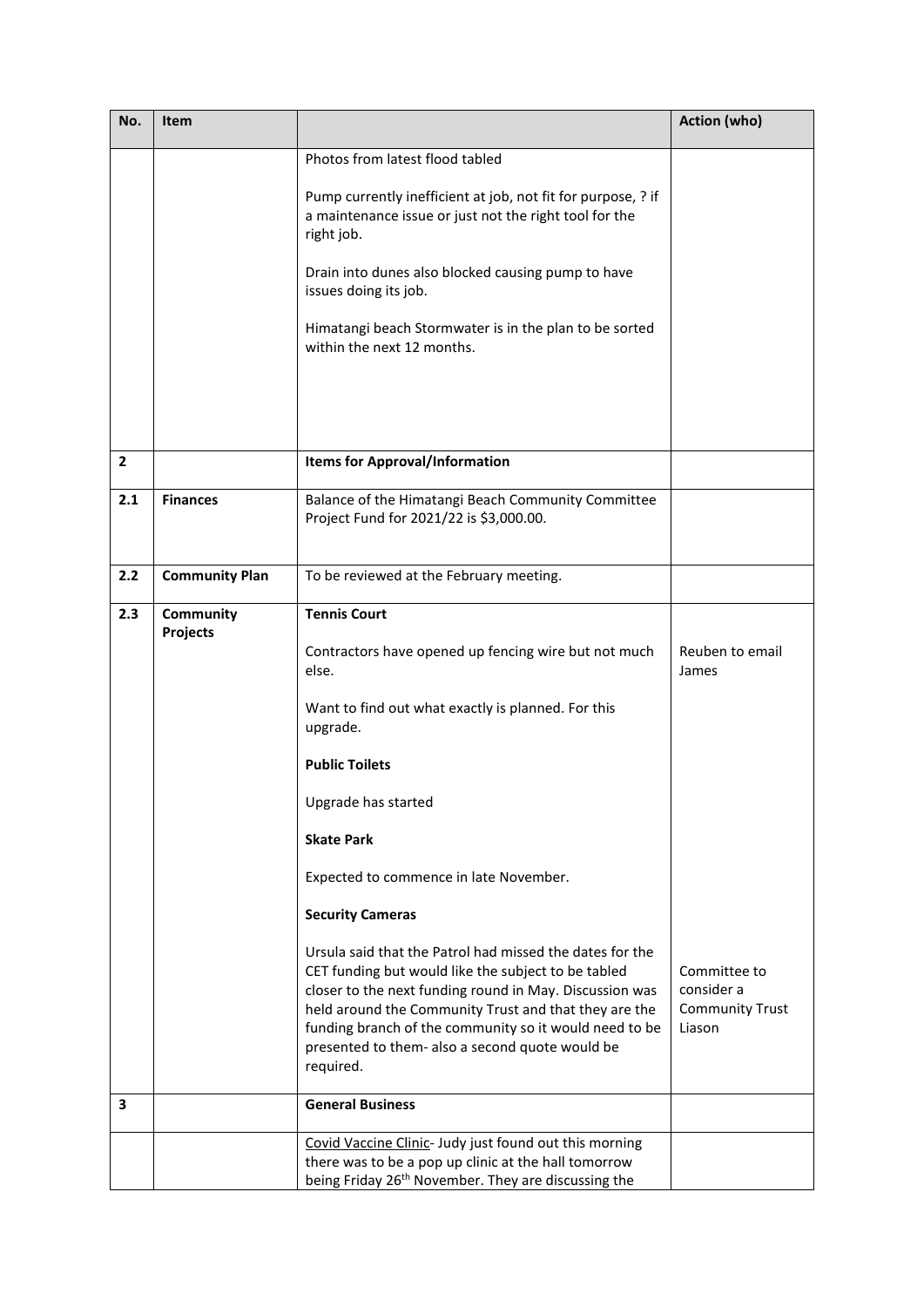| No. | Item                  |                                                                                                                                                                                                                                                                                                                                                               | Action (who)                                                   |
|-----|-----------------------|---------------------------------------------------------------------------------------------------------------------------------------------------------------------------------------------------------------------------------------------------------------------------------------------------------------------------------------------------------------|----------------------------------------------------------------|
|     |                       | Photos from latest flood tabled                                                                                                                                                                                                                                                                                                                               |                                                                |
|     |                       | Pump currently inefficient at job, not fit for purpose, ? if<br>a maintenance issue or just not the right tool for the<br>right job.                                                                                                                                                                                                                          |                                                                |
|     |                       | Drain into dunes also blocked causing pump to have<br>issues doing its job.                                                                                                                                                                                                                                                                                   |                                                                |
|     |                       | Himatangi beach Stormwater is in the plan to be sorted<br>within the next 12 months.                                                                                                                                                                                                                                                                          |                                                                |
|     |                       |                                                                                                                                                                                                                                                                                                                                                               |                                                                |
|     |                       |                                                                                                                                                                                                                                                                                                                                                               |                                                                |
| 2   |                       | <b>Items for Approval/Information</b>                                                                                                                                                                                                                                                                                                                         |                                                                |
| 2.1 | <b>Finances</b>       | Balance of the Himatangi Beach Community Committee<br>Project Fund for 2021/22 is \$3,000.00.                                                                                                                                                                                                                                                                 |                                                                |
| 2.2 | <b>Community Plan</b> | To be reviewed at the February meeting.                                                                                                                                                                                                                                                                                                                       |                                                                |
| 2.3 | Community             | <b>Tennis Court</b>                                                                                                                                                                                                                                                                                                                                           |                                                                |
|     | Projects              | Contractors have opened up fencing wire but not much<br>else.                                                                                                                                                                                                                                                                                                 | Reuben to email<br>James                                       |
|     |                       | Want to find out what exactly is planned. For this<br>upgrade.                                                                                                                                                                                                                                                                                                |                                                                |
|     |                       | <b>Public Toilets</b>                                                                                                                                                                                                                                                                                                                                         |                                                                |
|     |                       | Upgrade has started                                                                                                                                                                                                                                                                                                                                           |                                                                |
|     |                       | <b>Skate Park</b>                                                                                                                                                                                                                                                                                                                                             |                                                                |
|     |                       | Expected to commence in late November.                                                                                                                                                                                                                                                                                                                        |                                                                |
|     |                       | <b>Security Cameras</b>                                                                                                                                                                                                                                                                                                                                       |                                                                |
|     |                       | Ursula said that the Patrol had missed the dates for the<br>CET funding but would like the subject to be tabled<br>closer to the next funding round in May. Discussion was<br>held around the Community Trust and that they are the<br>funding branch of the community so it would need to be<br>presented to them- also a second quote would be<br>required. | Committee to<br>consider a<br><b>Community Trust</b><br>Liason |
| 3   |                       | <b>General Business</b>                                                                                                                                                                                                                                                                                                                                       |                                                                |
|     |                       | Covid Vaccine Clinic- Judy just found out this morning<br>there was to be a pop up clinic at the hall tomorrow<br>being Friday 26 <sup>th</sup> November. They are discussing the                                                                                                                                                                             |                                                                |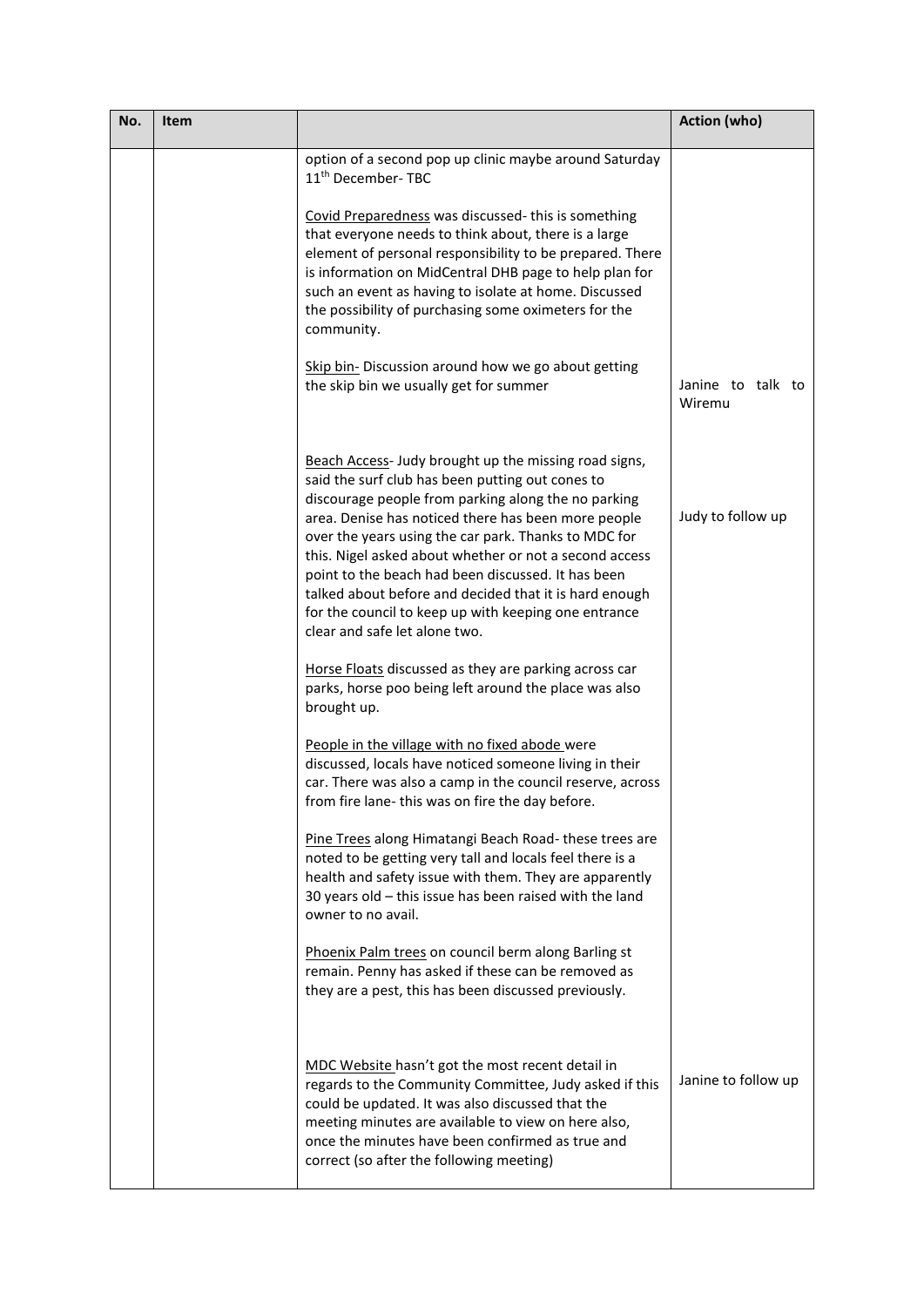| No. | Item |                                                                                                                                                                                                                                                                                                                                                                                                                                                                                                                                                    | <b>Action (who)</b>         |
|-----|------|----------------------------------------------------------------------------------------------------------------------------------------------------------------------------------------------------------------------------------------------------------------------------------------------------------------------------------------------------------------------------------------------------------------------------------------------------------------------------------------------------------------------------------------------------|-----------------------------|
|     |      | option of a second pop up clinic maybe around Saturday<br>11 <sup>th</sup> December-TBC                                                                                                                                                                                                                                                                                                                                                                                                                                                            |                             |
|     |      | Covid Preparedness was discussed-this is something<br>that everyone needs to think about, there is a large<br>element of personal responsibility to be prepared. There<br>is information on MidCentral DHB page to help plan for<br>such an event as having to isolate at home. Discussed<br>the possibility of purchasing some oximeters for the<br>community.                                                                                                                                                                                    |                             |
|     |      | Skip bin- Discussion around how we go about getting<br>the skip bin we usually get for summer                                                                                                                                                                                                                                                                                                                                                                                                                                                      | Janine to talk to<br>Wiremu |
|     |      | Beach Access- Judy brought up the missing road signs,<br>said the surf club has been putting out cones to<br>discourage people from parking along the no parking<br>area. Denise has noticed there has been more people<br>over the years using the car park. Thanks to MDC for<br>this. Nigel asked about whether or not a second access<br>point to the beach had been discussed. It has been<br>talked about before and decided that it is hard enough<br>for the council to keep up with keeping one entrance<br>clear and safe let alone two. | Judy to follow up           |
|     |      | Horse Floats discussed as they are parking across car<br>parks, horse poo being left around the place was also<br>brought up.                                                                                                                                                                                                                                                                                                                                                                                                                      |                             |
|     |      | People in the village with no fixed abode were<br>discussed, locals have noticed someone living in their<br>car. There was also a camp in the council reserve, across<br>from fire lane- this was on fire the day before                                                                                                                                                                                                                                                                                                                           |                             |
|     |      | Pine Trees along Himatangi Beach Road-these trees are<br>noted to be getting very tall and locals feel there is a<br>health and safety issue with them. They are apparently<br>30 years old - this issue has been raised with the land<br>owner to no avail.                                                                                                                                                                                                                                                                                       |                             |
|     |      | Phoenix Palm trees on council berm along Barling st<br>remain. Penny has asked if these can be removed as<br>they are a pest, this has been discussed previously.                                                                                                                                                                                                                                                                                                                                                                                  |                             |
|     |      | MDC Website hasn't got the most recent detail in<br>regards to the Community Committee, Judy asked if this<br>could be updated. It was also discussed that the<br>meeting minutes are available to view on here also,<br>once the minutes have been confirmed as true and<br>correct (so after the following meeting)                                                                                                                                                                                                                              | Janine to follow up         |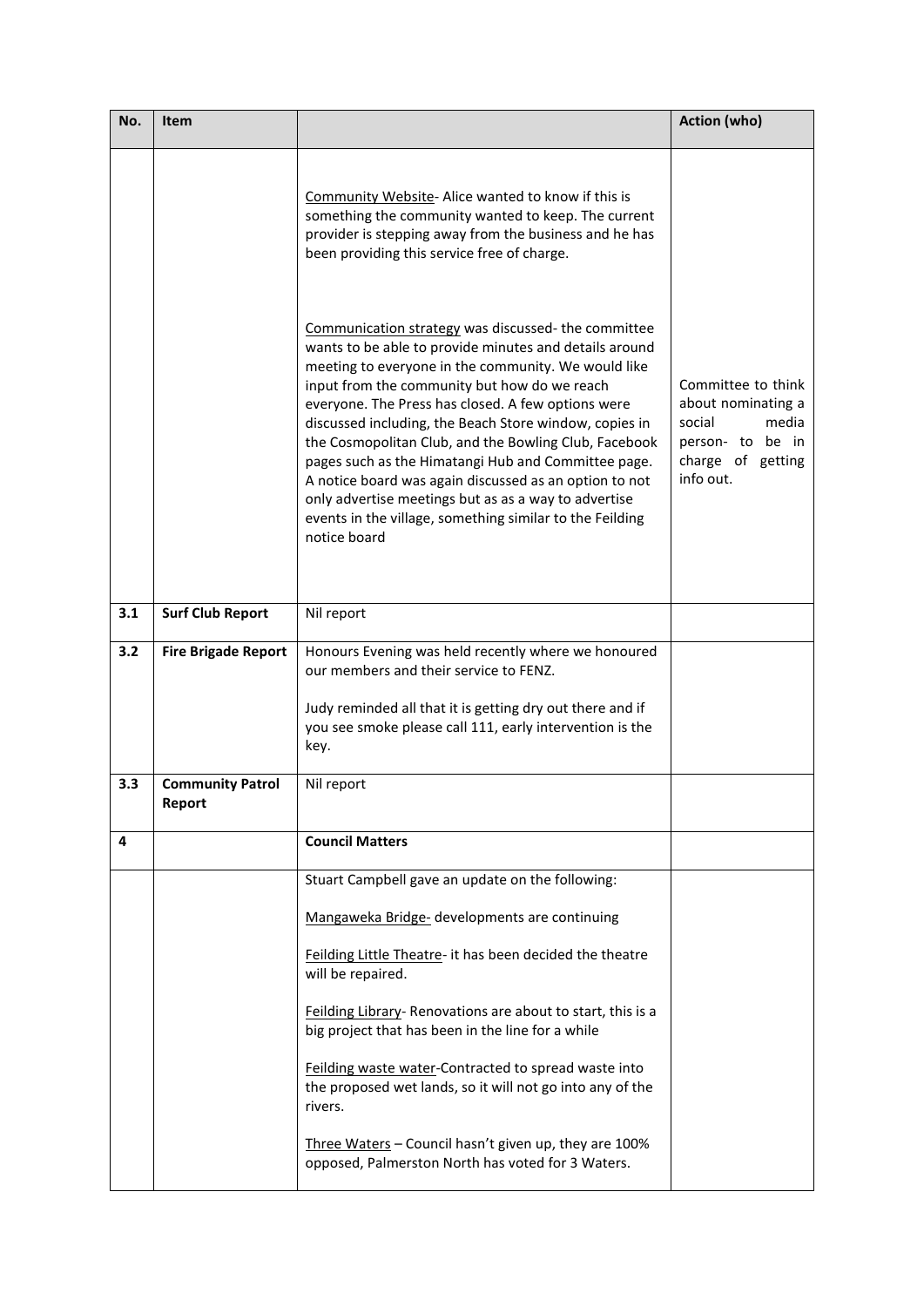| No. | Item                              |                                                                                                                                                                                                                                                                                                                                                                                                                                                                                                                                                                                                                                                   | Action (who)                                                                                                      |
|-----|-----------------------------------|---------------------------------------------------------------------------------------------------------------------------------------------------------------------------------------------------------------------------------------------------------------------------------------------------------------------------------------------------------------------------------------------------------------------------------------------------------------------------------------------------------------------------------------------------------------------------------------------------------------------------------------------------|-------------------------------------------------------------------------------------------------------------------|
|     |                                   | Community Website- Alice wanted to know if this is<br>something the community wanted to keep. The current<br>provider is stepping away from the business and he has<br>been providing this service free of charge.                                                                                                                                                                                                                                                                                                                                                                                                                                |                                                                                                                   |
|     |                                   | Communication strategy was discussed-the committee<br>wants to be able to provide minutes and details around<br>meeting to everyone in the community. We would like<br>input from the community but how do we reach<br>everyone. The Press has closed. A few options were<br>discussed including, the Beach Store window, copies in<br>the Cosmopolitan Club, and the Bowling Club, Facebook<br>pages such as the Himatangi Hub and Committee page.<br>A notice board was again discussed as an option to not<br>only advertise meetings but as as a way to advertise<br>events in the village, something similar to the Feilding<br>notice board | Committee to think<br>about nominating a<br>social<br>media<br>person- to be in<br>charge of getting<br>info out. |
| 3.1 | <b>Surf Club Report</b>           | Nil report                                                                                                                                                                                                                                                                                                                                                                                                                                                                                                                                                                                                                                        |                                                                                                                   |
| 3.2 | <b>Fire Brigade Report</b>        | Honours Evening was held recently where we honoured<br>our members and their service to FENZ.<br>Judy reminded all that it is getting dry out there and if<br>you see smoke please call 111, early intervention is the                                                                                                                                                                                                                                                                                                                                                                                                                            |                                                                                                                   |
|     |                                   | key.                                                                                                                                                                                                                                                                                                                                                                                                                                                                                                                                                                                                                                              |                                                                                                                   |
| 3.3 | <b>Community Patrol</b><br>Report | Nil report                                                                                                                                                                                                                                                                                                                                                                                                                                                                                                                                                                                                                                        |                                                                                                                   |
| 4   |                                   | <b>Council Matters</b>                                                                                                                                                                                                                                                                                                                                                                                                                                                                                                                                                                                                                            |                                                                                                                   |
|     |                                   | Stuart Campbell gave an update on the following:                                                                                                                                                                                                                                                                                                                                                                                                                                                                                                                                                                                                  |                                                                                                                   |
|     |                                   | Mangaweka Bridge- developments are continuing                                                                                                                                                                                                                                                                                                                                                                                                                                                                                                                                                                                                     |                                                                                                                   |
|     |                                   | Feilding Little Theatre- it has been decided the theatre<br>will be repaired.                                                                                                                                                                                                                                                                                                                                                                                                                                                                                                                                                                     |                                                                                                                   |
|     |                                   | Feilding Library- Renovations are about to start, this is a<br>big project that has been in the line for a while                                                                                                                                                                                                                                                                                                                                                                                                                                                                                                                                  |                                                                                                                   |
|     |                                   | Feilding waste water-Contracted to spread waste into<br>the proposed wet lands, so it will not go into any of the<br>rivers.                                                                                                                                                                                                                                                                                                                                                                                                                                                                                                                      |                                                                                                                   |
|     |                                   | Three Waters - Council hasn't given up, they are 100%<br>opposed, Palmerston North has voted for 3 Waters.                                                                                                                                                                                                                                                                                                                                                                                                                                                                                                                                        |                                                                                                                   |